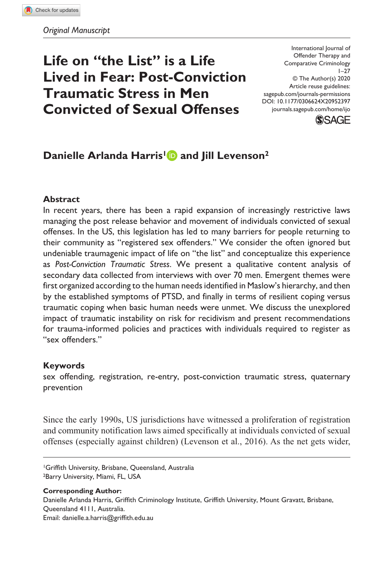# **Life on "the List" is a Life Lived in Fear: Post-Conviction Traumatic Stress in Men Convicted of Sexual Offenses**

DOI: 10.1177/0306624X20952397 International Journal of Offender Therapy and Comparative Criminology  $1 - 27$ © The Author(s) 2020 Article reuse guidelines: [sagepub.com/journals-permissions](https://us.sagepub.com/en-us/journals-permissions) [journals.sagepub.com/home/ijo](https://journals.sagepub.com/home/ijo)



# **Danielle Arlanda Harris<sup>1</sup> and Jill Levenson<sup>2</sup>**

## **Abstract**

In recent years, there has been a rapid expansion of increasingly restrictive laws managing the post release behavior and movement of individuals convicted of sexual offenses. In the US, this legislation has led to many barriers for people returning to their community as "registered sex offenders." We consider the often ignored but undeniable traumagenic impact of life on "the list" and conceptualize this experience as *Post-Conviction Traumatic Stress*. We present a qualitative content analysis of secondary data collected from interviews with over 70 men. Emergent themes were first organized according to the human needs identified in Maslow's hierarchy, and then by the established symptoms of PTSD, and finally in terms of resilient coping versus traumatic coping when basic human needs were unmet. We discuss the unexplored impact of traumatic instability on risk for recidivism and present recommendations for trauma-informed policies and practices with individuals required to register as "sex offenders."

### **Keywords**

sex offending, registration, re-entry, post-conviction traumatic stress, quaternary prevention

Since the early 1990s, US jurisdictions have witnessed a proliferation of registration and community notification laws aimed specifically at individuals convicted of sexual offenses (especially against children) (Levenson et al., 2016). As the net gets wider,

1Griffith University, Brisbane, Queensland, Australia 2Barry University, Miami, FL, USA

#### **Corresponding Author:**

Danielle Arlanda Harris, Griffith Criminology Institute, Griffith University, Mount Gravatt, Brisbane, Queensland 4111, Australia. Email: [danielle.a.harris@griffith.edu.au](mailto:danielle.a.harris@griffith.edu.au)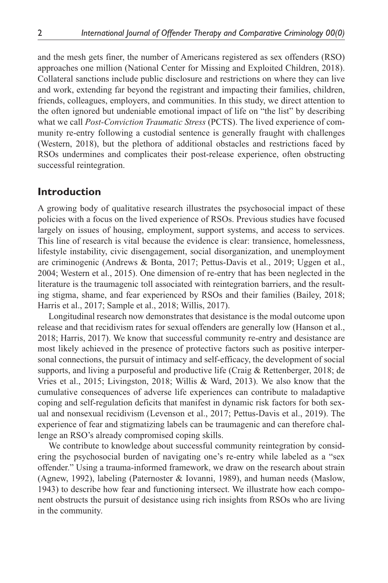and the mesh gets finer, the number of Americans registered as sex offenders (RSO) approaches one million (National Center for Missing and Exploited Children, 2018). Collateral sanctions include public disclosure and restrictions on where they can live and work, extending far beyond the registrant and impacting their families, children, friends, colleagues, employers, and communities. In this study, we direct attention to the often ignored but undeniable emotional impact of life on "the list" by describing what we call *Post-Conviction Traumatic Stress* (PCTS). The lived experience of community re-entry following a custodial sentence is generally fraught with challenges (Western, 2018), but the plethora of additional obstacles and restrictions faced by RSOs undermines and complicates their post-release experience, often obstructing successful reintegration.

## **Introduction**

A growing body of qualitative research illustrates the psychosocial impact of these policies with a focus on the lived experience of RSOs. Previous studies have focused largely on issues of housing, employment, support systems, and access to services. This line of research is vital because the evidence is clear: transience, homelessness, lifestyle instability, civic disengagement, social disorganization, and unemployment are criminogenic (Andrews & Bonta, 2017; Pettus-Davis et al., 2019; Uggen et al., 2004; Western et al., 2015). One dimension of re-entry that has been neglected in the literature is the traumagenic toll associated with reintegration barriers, and the resulting stigma, shame, and fear experienced by RSOs and their families (Bailey, 2018; Harris et al., 2017; Sample et al., 2018; Willis, 2017).

Longitudinal research now demonstrates that desistance is the modal outcome upon release and that recidivism rates for sexual offenders are generally low (Hanson et al., 2018; Harris, 2017). We know that successful community re-entry and desistance are most likely achieved in the presence of protective factors such as positive interpersonal connections, the pursuit of intimacy and self-efficacy, the development of social supports, and living a purposeful and productive life (Craig & Rettenberger, 2018; de Vries et al., 2015; Livingston, 2018; Willis & Ward, 2013). We also know that the cumulative consequences of adverse life experiences can contribute to maladaptive coping and self-regulation deficits that manifest in dynamic risk factors for both sexual and nonsexual recidivism (Levenson et al., 2017; Pettus-Davis et al., 2019). The experience of fear and stigmatizing labels can be traumagenic and can therefore challenge an RSO's already compromised coping skills.

We contribute to knowledge about successful community reintegration by considering the psychosocial burden of navigating one's re-entry while labeled as a "sex offender." Using a trauma-informed framework, we draw on the research about strain (Agnew, 1992), labeling (Paternoster & Iovanni, 1989), and human needs (Maslow, 1943) to describe how fear and functioning intersect. We illustrate how each component obstructs the pursuit of desistance using rich insights from RSOs who are living in the community.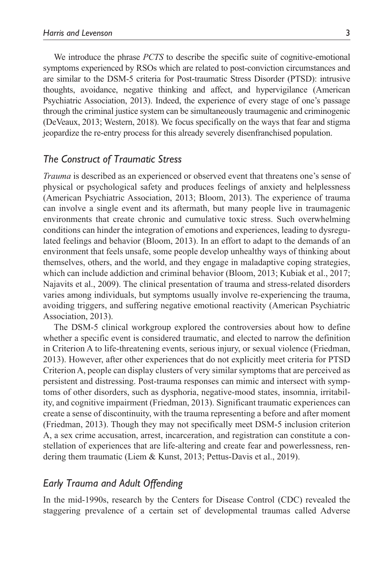We introduce the phrase *PCTS* to describe the specific suite of cognitive-emotional symptoms experienced by RSOs which are related to post-conviction circumstances and are similar to the DSM-5 criteria for Post-traumatic Stress Disorder (PTSD): intrusive thoughts, avoidance, negative thinking and affect, and hypervigilance (American Psychiatric Association, 2013). Indeed, the experience of every stage of one's passage through the criminal justice system can be simultaneously traumagenic and criminogenic (DeVeaux, 2013; Western, 2018). We focus specifically on the ways that fear and stigma jeopardize the re-entry process for this already severely disenfranchised population.

## *The Construct of Traumatic Stress*

*Trauma* is described as an experienced or observed event that threatens one's sense of physical or psychological safety and produces feelings of anxiety and helplessness (American Psychiatric Association, 2013; Bloom, 2013). The experience of trauma can involve a single event and its aftermath, but many people live in traumagenic environments that create chronic and cumulative toxic stress. Such overwhelming conditions can hinder the integration of emotions and experiences, leading to dysregulated feelings and behavior (Bloom, 2013). In an effort to adapt to the demands of an environment that feels unsafe, some people develop unhealthy ways of thinking about themselves, others, and the world, and they engage in maladaptive coping strategies, which can include addiction and criminal behavior (Bloom, 2013; Kubiak et al., 2017; Najavits et al., 2009). The clinical presentation of trauma and stress-related disorders varies among individuals, but symptoms usually involve re-experiencing the trauma, avoiding triggers, and suffering negative emotional reactivity (American Psychiatric Association, 2013).

The DSM-5 clinical workgroup explored the controversies about how to define whether a specific event is considered traumatic, and elected to narrow the definition in Criterion A to life-threatening events, serious injury, or sexual violence (Friedman, 2013). However, after other experiences that do not explicitly meet criteria for PTSD Criterion A, people can display clusters of very similar symptoms that are perceived as persistent and distressing. Post-trauma responses can mimic and intersect with symptoms of other disorders, such as dysphoria, negative-mood states, insomnia, irritability, and cognitive impairment (Friedman, 2013). Significant traumatic experiences can create a sense of discontinuity, with the trauma representing a before and after moment (Friedman, 2013). Though they may not specifically meet DSM-5 inclusion criterion A, a sex crime accusation, arrest, incarceration, and registration can constitute a constellation of experiences that are life-altering and create fear and powerlessness, rendering them traumatic (Liem & Kunst, 2013; Pettus-Davis et al., 2019).

### *Early Trauma and Adult Offending*

In the mid-1990s, research by the Centers for Disease Control (CDC) revealed the staggering prevalence of a certain set of developmental traumas called Adverse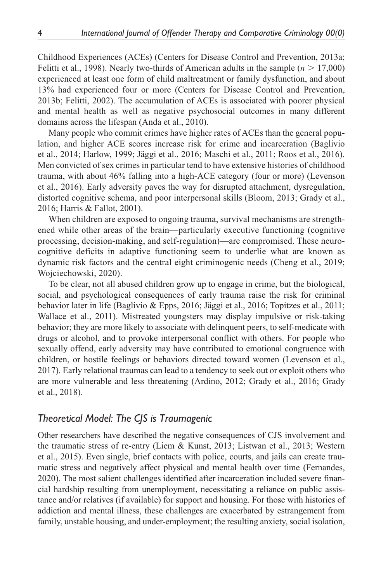Childhood Experiences (ACEs) (Centers for Disease Control and Prevention, 2013a; Felitti et al., 1998). Nearly two-thirds of American adults in the sample  $(n > 17,000)$ experienced at least one form of child maltreatment or family dysfunction, and about 13% had experienced four or more (Centers for Disease Control and Prevention, 2013b; Felitti, 2002). The accumulation of ACEs is associated with poorer physical and mental health as well as negative psychosocial outcomes in many different domains across the lifespan (Anda et al., 2010).

Many people who commit crimes have higher rates of ACEs than the general population, and higher ACE scores increase risk for crime and incarceration (Baglivio et al., 2014; Harlow, 1999; Jäggi et al., 2016; Maschi et al., 2011; Roos et al., 2016). Men convicted of sex crimes in particular tend to have extensive histories of childhood trauma, with about 46% falling into a high-ACE category (four or more) (Levenson et al., 2016). Early adversity paves the way for disrupted attachment, dysregulation, distorted cognitive schema, and poor interpersonal skills (Bloom, 2013; Grady et al., 2016; Harris & Fallot, 2001).

When children are exposed to ongoing trauma, survival mechanisms are strengthened while other areas of the brain—particularly executive functioning (cognitive processing, decision-making, and self-regulation)—are compromised. These neurocognitive deficits in adaptive functioning seem to underlie what are known as dynamic risk factors and the central eight criminogenic needs (Cheng et al., 2019; Wojciechowski, 2020).

To be clear, not all abused children grow up to engage in crime, but the biological, social, and psychological consequences of early trauma raise the risk for criminal behavior later in life (Baglivio & Epps, 2016; Jäggi et al., 2016; Topitzes et al., 2011; Wallace et al., 2011). Mistreated youngsters may display impulsive or risk-taking behavior; they are more likely to associate with delinquent peers, to self-medicate with drugs or alcohol, and to provoke interpersonal conflict with others. For people who sexually offend, early adversity may have contributed to emotional congruence with children, or hostile feelings or behaviors directed toward women (Levenson et al., 2017). Early relational traumas can lead to a tendency to seek out or exploit others who are more vulnerable and less threatening (Ardino, 2012; Grady et al., 2016; Grady et al., 2018).

## *Theoretical Model: The CJS is Traumagenic*

Other researchers have described the negative consequences of CJS involvement and the traumatic stress of re-entry (Liem & Kunst, 2013; Listwan et al., 2013; Western et al., 2015). Even single, brief contacts with police, courts, and jails can create traumatic stress and negatively affect physical and mental health over time (Fernandes, 2020). The most salient challenges identified after incarceration included severe financial hardship resulting from unemployment, necessitating a reliance on public assistance and/or relatives (if available) for support and housing. For those with histories of addiction and mental illness, these challenges are exacerbated by estrangement from family, unstable housing, and under-employment; the resulting anxiety, social isolation,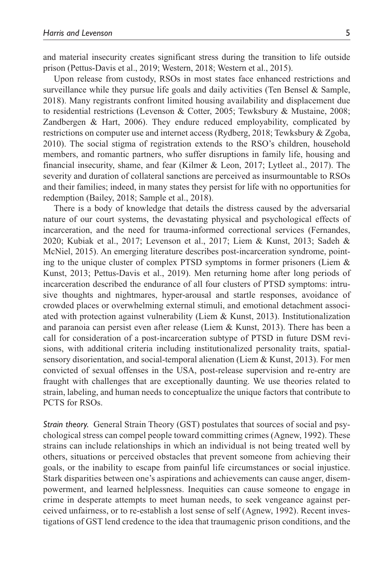and material insecurity creates significant stress during the transition to life outside prison (Pettus-Davis et al., 2019; Western, 2018; Western et al., 2015).

Upon release from custody, RSOs in most states face enhanced restrictions and surveillance while they pursue life goals and daily activities (Ten Bensel & Sample, 2018). Many registrants confront limited housing availability and displacement due to residential restrictions (Levenson & Cotter, 2005; Tewksbury & Mustaine, 2008; Zandbergen & Hart, 2006). They endure reduced employability, complicated by restrictions on computer use and internet access (Rydberg, 2018; Tewksbury & Zgoba, 2010). The social stigma of registration extends to the RSO's children, household members, and romantic partners, who suffer disruptions in family life, housing and financial insecurity, shame, and fear (Kilmer & Leon, 2017; Lytleet al., 2017). The severity and duration of collateral sanctions are perceived as insurmountable to RSOs and their families; indeed, in many states they persist for life with no opportunities for redemption (Bailey, 2018; Sample et al., 2018).

There is a body of knowledge that details the distress caused by the adversarial nature of our court systems, the devastating physical and psychological effects of incarceration, and the need for trauma-informed correctional services (Fernandes, 2020; Kubiak et al., 2017; Levenson et al., 2017; Liem & Kunst, 2013; Sadeh & McNiel, 2015). An emerging literature describes post-incarceration syndrome, pointing to the unique cluster of complex PTSD symptoms in former prisoners (Liem & Kunst, 2013; Pettus-Davis et al., 2019). Men returning home after long periods of incarceration described the endurance of all four clusters of PTSD symptoms: intrusive thoughts and nightmares, hyper-arousal and startle responses, avoidance of crowded places or overwhelming external stimuli, and emotional detachment associated with protection against vulnerability (Liem & Kunst, 2013). Institutionalization and paranoia can persist even after release (Liem & Kunst, 2013). There has been a call for consideration of a post-incarceration subtype of PTSD in future DSM revisions, with additional criteria including institutionalized personality traits, spatialsensory disorientation, and social-temporal alienation (Liem & Kunst, 2013). For men convicted of sexual offenses in the USA, post-release supervision and re-entry are fraught with challenges that are exceptionally daunting. We use theories related to strain, labeling, and human needs to conceptualize the unique factors that contribute to PCTS for RSOs.

*Strain theory.* General Strain Theory (GST) postulates that sources of social and psychological stress can compel people toward committing crimes (Agnew, 1992). These strains can include relationships in which an individual is not being treated well by others, situations or perceived obstacles that prevent someone from achieving their goals, or the inability to escape from painful life circumstances or social injustice. Stark disparities between one's aspirations and achievements can cause anger, disempowerment, and learned helplessness. Inequities can cause someone to engage in crime in desperate attempts to meet human needs, to seek vengeance against perceived unfairness, or to re-establish a lost sense of self (Agnew, 1992). Recent investigations of GST lend credence to the idea that traumagenic prison conditions, and the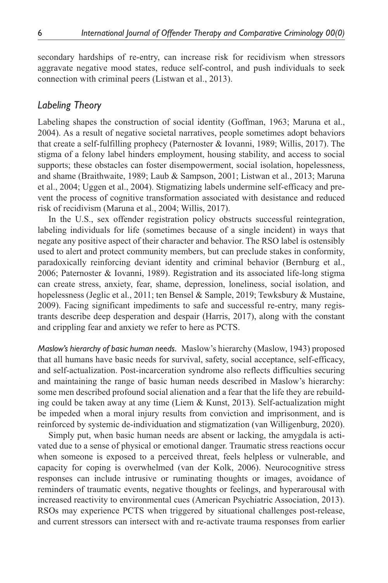secondary hardships of re-entry, can increase risk for recidivism when stressors aggravate negative mood states, reduce self-control, and push individuals to seek connection with criminal peers (Listwan et al., 2013).

## *Labeling Theory*

Labeling shapes the construction of social identity (Goffman, 1963; Maruna et al., 2004). As a result of negative societal narratives, people sometimes adopt behaviors that create a self-fulfilling prophecy (Paternoster & Iovanni, 1989; Willis, 2017). The stigma of a felony label hinders employment, housing stability, and access to social supports; these obstacles can foster disempowerment, social isolation, hopelessness, and shame (Braithwaite, 1989; Laub & Sampson, 2001; Listwan et al., 2013; Maruna et al., 2004; Uggen et al., 2004). Stigmatizing labels undermine self-efficacy and prevent the process of cognitive transformation associated with desistance and reduced risk of recidivism (Maruna et al., 2004; Willis, 2017).

In the U.S., sex offender registration policy obstructs successful reintegration, labeling individuals for life (sometimes because of a single incident) in ways that negate any positive aspect of their character and behavior. The RSO label is ostensibly used to alert and protect community members, but can preclude stakes in conformity, paradoxically reinforcing deviant identity and criminal behavior (Bernburg et al., 2006; Paternoster & Iovanni, 1989). Registration and its associated life-long stigma can create stress, anxiety, fear, shame, depression, loneliness, social isolation, and hopelessness (Jeglic et al., 2011; ten Bensel & Sample, 2019; Tewksbury & Mustaine, 2009). Facing significant impediments to safe and successful re-entry, many registrants describe deep desperation and despair (Harris, 2017), along with the constant and crippling fear and anxiety we refer to here as PCTS.

*Maslow's hierarchy of basic human needs.* Maslow's hierarchy (Maslow, 1943) proposed that all humans have basic needs for survival, safety, social acceptance, self-efficacy, and self-actualization. Post-incarceration syndrome also reflects difficulties securing and maintaining the range of basic human needs described in Maslow's hierarchy: some men described profound social alienation and a fear that the life they are rebuilding could be taken away at any time (Liem & Kunst, 2013). Self-actualization might be impeded when a moral injury results from conviction and imprisonment, and is reinforced by systemic de-individuation and stigmatization (van Willigenburg, 2020).

Simply put, when basic human needs are absent or lacking, the amygdala is activated due to a sense of physical or emotional danger. Traumatic stress reactions occur when someone is exposed to a perceived threat, feels helpless or vulnerable, and capacity for coping is overwhelmed (van der Kolk, 2006). Neurocognitive stress responses can include intrusive or ruminating thoughts or images, avoidance of reminders of traumatic events, negative thoughts or feelings, and hyperarousal with increased reactivity to environmental cues (American Psychiatric Association, 2013). RSOs may experience PCTS when triggered by situational challenges post-release, and current stressors can intersect with and re-activate trauma responses from earlier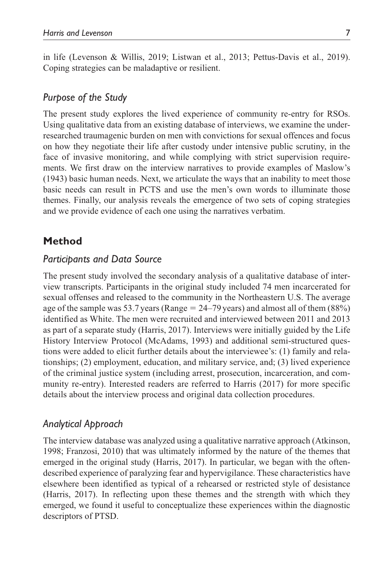in life (Levenson & Willis, 2019; Listwan et al., 2013; Pettus-Davis et al., 2019). Coping strategies can be maladaptive or resilient.

## *Purpose of the Study*

The present study explores the lived experience of community re-entry for RSOs. Using qualitative data from an existing database of interviews, we examine the underresearched traumagenic burden on men with convictions for sexual offences and focus on how they negotiate their life after custody under intensive public scrutiny, in the face of invasive monitoring, and while complying with strict supervision requirements. We first draw on the interview narratives to provide examples of Maslow's (1943) basic human needs. Next, we articulate the ways that an inability to meet those basic needs can result in PCTS and use the men's own words to illuminate those themes. Finally, our analysis reveals the emergence of two sets of coping strategies and we provide evidence of each one using the narratives verbatim.

## **Method**

### *Participants and Data Source*

The present study involved the secondary analysis of a qualitative database of interview transcripts. Participants in the original study included 74 men incarcerated for sexual offenses and released to the community in the Northeastern U.S. The average age of the sample was 53.7 years (Range  $= 24-79$  years) and almost all of them (88%) identified as White. The men were recruited and interviewed between 2011 and 2013 as part of a separate study (Harris, 2017). Interviews were initially guided by the Life History Interview Protocol (McAdams, 1993) and additional semi-structured questions were added to elicit further details about the interviewee's: (1) family and relationships; (2) employment, education, and military service, and; (3) lived experience of the criminal justice system (including arrest, prosecution, incarceration, and community re-entry). Interested readers are referred to Harris (2017) for more specific details about the interview process and original data collection procedures.

### *Analytical Approach*

The interview database was analyzed using a qualitative narrative approach (Atkinson, 1998; Franzosi, 2010) that was ultimately informed by the nature of the themes that emerged in the original study (Harris, 2017). In particular, we began with the oftendescribed experience of paralyzing fear and hypervigilance. These characteristics have elsewhere been identified as typical of a rehearsed or restricted style of desistance (Harris, 2017). In reflecting upon these themes and the strength with which they emerged, we found it useful to conceptualize these experiences within the diagnostic descriptors of PTSD.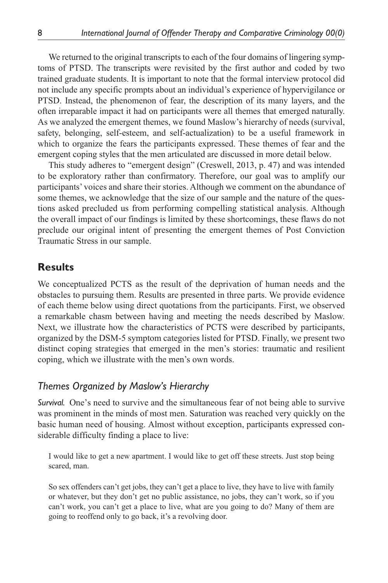We returned to the original transcripts to each of the four domains of lingering symptoms of PTSD. The transcripts were revisited by the first author and coded by two trained graduate students. It is important to note that the formal interview protocol did not include any specific prompts about an individual's experience of hypervigilance or PTSD. Instead, the phenomenon of fear, the description of its many layers, and the often irreparable impact it had on participants were all themes that emerged naturally. As we analyzed the emergent themes, we found Maslow's hierarchy of needs (survival, safety, belonging, self-esteem, and self-actualization) to be a useful framework in which to organize the fears the participants expressed. These themes of fear and the emergent coping styles that the men articulated are discussed in more detail below.

This study adheres to "emergent design" (Creswell, 2013, p. 47) and was intended to be exploratory rather than confirmatory. Therefore, our goal was to amplify our participants' voices and share their stories. Although we comment on the abundance of some themes, we acknowledge that the size of our sample and the nature of the questions asked precluded us from performing compelling statistical analysis. Although the overall impact of our findings is limited by these shortcomings, these flaws do not preclude our original intent of presenting the emergent themes of Post Conviction Traumatic Stress in our sample.

## **Results**

We conceptualized PCTS as the result of the deprivation of human needs and the obstacles to pursuing them. Results are presented in three parts. We provide evidence of each theme below using direct quotations from the participants. First, we observed a remarkable chasm between having and meeting the needs described by Maslow. Next, we illustrate how the characteristics of PCTS were described by participants, organized by the DSM-5 symptom categories listed for PTSD. Finally, we present two distinct coping strategies that emerged in the men's stories: traumatic and resilient coping, which we illustrate with the men's own words.

## *Themes Organized by Maslow's Hierarchy*

*Survival.* One's need to survive and the simultaneous fear of not being able to survive was prominent in the minds of most men. Saturation was reached very quickly on the basic human need of housing. Almost without exception, participants expressed considerable difficulty finding a place to live:

I would like to get a new apartment. I would like to get off these streets. Just stop being scared, man.

So sex offenders can't get jobs, they can't get a place to live, they have to live with family or whatever, but they don't get no public assistance, no jobs, they can't work, so if you can't work, you can't get a place to live, what are you going to do? Many of them are going to reoffend only to go back, it's a revolving door.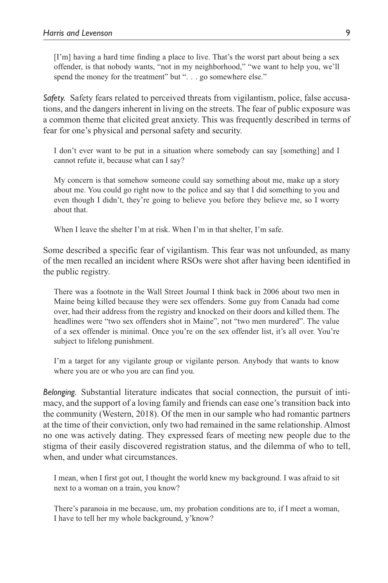[I'm] having a hard time finding a place to live. That's the worst part about being a sex offender, is that nobody wants, "not in my neighborhood," "we want to help you, we'll spend the money for the treatment" but ". . . go somewhere else."

*Safety.* Safety fears related to perceived threats from vigilantism, police, false accusations, and the dangers inherent in living on the streets. The fear of public exposure was a common theme that elicited great anxiety. This was frequently described in terms of fear for one's physical and personal safety and security.

I don't ever want to be put in a situation where somebody can say [something] and I cannot refute it, because what can I say?

My concern is that somehow someone could say something about me, make up a story about me. You could go right now to the police and say that I did something to you and even though I didn't, they're going to believe you before they believe me, so I worry about that.

When I leave the shelter I'm at risk. When I'm in that shelter, I'm safe.

Some described a specific fear of vigilantism. This fear was not unfounded, as many of the men recalled an incident where RSOs were shot after having been identified in the public registry.

There was a footnote in the Wall Street Journal I think back in 2006 about two men in Maine being killed because they were sex offenders. Some guy from Canada had come over, had their address from the registry and knocked on their doors and killed them. The headlines were "two sex offenders shot in Maine", not "two men murdered". The value of a sex offender is minimal. Once you're on the sex offender list, it's all over. You're subject to lifelong punishment.

I'm a target for any vigilante group or vigilante person. Anybody that wants to know where you are or who you are can find you.

*Belonging.* Substantial literature indicates that social connection, the pursuit of intimacy, and the support of a loving family and friends can ease one's transition back into the community (Western, 2018). Of the men in our sample who had romantic partners at the time of their conviction, only two had remained in the same relationship. Almost no one was actively dating. They expressed fears of meeting new people due to the stigma of their easily discovered registration status, and the dilemma of who to tell, when, and under what circumstances.

I mean, when I first got out, I thought the world knew my background. I was afraid to sit next to a woman on a train, you know?

There's paranoia in me because, um, my probation conditions are to, if I meet a woman, I have to tell her my whole background, y'know?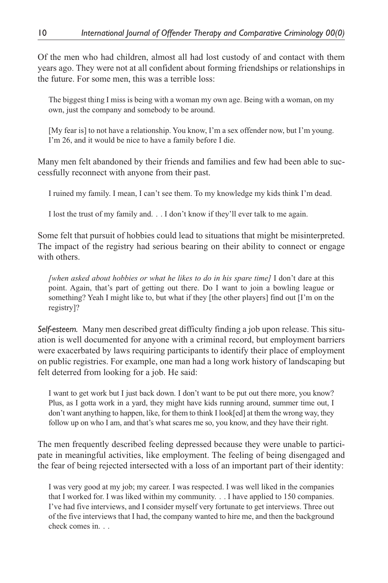Of the men who had children, almost all had lost custody of and contact with them years ago. They were not at all confident about forming friendships or relationships in the future. For some men, this was a terrible loss:

The biggest thing I miss is being with a woman my own age. Being with a woman, on my own, just the company and somebody to be around.

[My fear is] to not have a relationship. You know, I'm a sex offender now, but I'm young. I'm 26, and it would be nice to have a family before I die.

Many men felt abandoned by their friends and families and few had been able to successfully reconnect with anyone from their past.

I ruined my family. I mean, I can't see them. To my knowledge my kids think I'm dead.

I lost the trust of my family and. . . I don't know if they'll ever talk to me again.

Some felt that pursuit of hobbies could lead to situations that might be misinterpreted. The impact of the registry had serious bearing on their ability to connect or engage with others.

*[when asked about hobbies or what he likes to do in his spare time]* I don't dare at this point. Again, that's part of getting out there. Do I want to join a bowling league or something? Yeah I might like to, but what if they [the other players] find out [I'm on the registry]?

*Self-esteem.* Many men described great difficulty finding a job upon release. This situation is well documented for anyone with a criminal record, but employment barriers were exacerbated by laws requiring participants to identify their place of employment on public registries. For example, one man had a long work history of landscaping but felt deterred from looking for a job. He said:

I want to get work but I just back down. I don't want to be put out there more, you know? Plus, as I gotta work in a yard, they might have kids running around, summer time out, I don't want anything to happen, like, for them to think I look[ed] at them the wrong way, they follow up on who I am, and that's what scares me so, you know, and they have their right.

The men frequently described feeling depressed because they were unable to participate in meaningful activities, like employment. The feeling of being disengaged and the fear of being rejected intersected with a loss of an important part of their identity:

I was very good at my job; my career. I was respected. I was well liked in the companies that I worked for. I was liked within my community. . . I have applied to 150 companies. I've had five interviews, and I consider myself very fortunate to get interviews. Three out of the five interviews that I had, the company wanted to hire me, and then the background check comes in. . .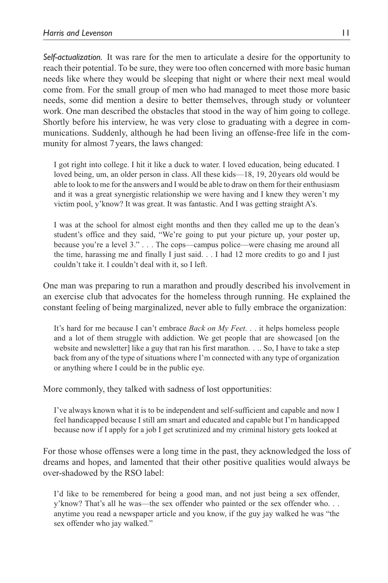*Self-actualization.* It was rare for the men to articulate a desire for the opportunity to reach their potential. To be sure, they were too often concerned with more basic human needs like where they would be sleeping that night or where their next meal would come from. For the small group of men who had managed to meet those more basic needs, some did mention a desire to better themselves, through study or volunteer work. One man described the obstacles that stood in the way of him going to college. Shortly before his interview, he was very close to graduating with a degree in communications. Suddenly, although he had been living an offense-free life in the community for almost 7 years, the laws changed:

I got right into college. I hit it like a duck to water. I loved education, being educated. I loved being, um, an older person in class. All these kids—18, 19, 20 years old would be able to look to me for the answers and I would be able to draw on them for their enthusiasm and it was a great synergistic relationship we were having and I knew they weren't my victim pool, y'know? It was great. It was fantastic. And I was getting straight A's.

I was at the school for almost eight months and then they called me up to the dean's student's office and they said, "We're going to put your picture up, your poster up, because you're a level 3." . . . The cops—campus police—were chasing me around all the time, harassing me and finally I just said. . . I had 12 more credits to go and I just couldn't take it. I couldn't deal with it, so I left.

One man was preparing to run a marathon and proudly described his involvement in an exercise club that advocates for the homeless through running. He explained the constant feeling of being marginalized, never able to fully embrace the organization:

It's hard for me because I can't embrace *Back on My Feet*. . . it helps homeless people and a lot of them struggle with addiction. We get people that are showcased [on the website and newsletter] like a guy that ran his first marathon. . .. So, I have to take a step back from any of the type of situations where I'm connected with any type of organization or anything where I could be in the public eye.

More commonly, they talked with sadness of lost opportunities:

I've always known what it is to be independent and self-sufficient and capable and now I feel handicapped because I still am smart and educated and capable but I'm handicapped because now if I apply for a job I get scrutinized and my criminal history gets looked at

For those whose offenses were a long time in the past, they acknowledged the loss of dreams and hopes, and lamented that their other positive qualities would always be over-shadowed by the RSO label:

I'd like to be remembered for being a good man, and not just being a sex offender, y'know? That's all he was—the sex offender who painted or the sex offender who. . . anytime you read a newspaper article and you know, if the guy jay walked he was "the sex offender who jay walked."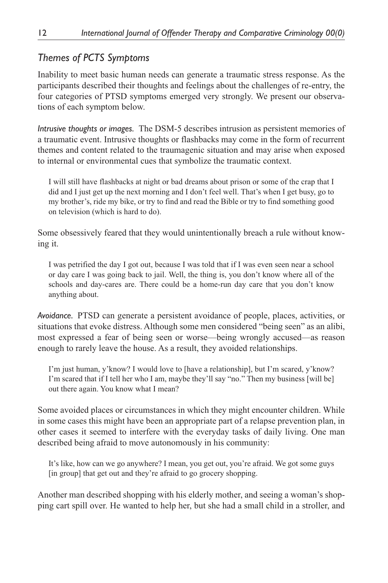## *Themes of PCTS Symptoms*

Inability to meet basic human needs can generate a traumatic stress response. As the participants described their thoughts and feelings about the challenges of re-entry, the four categories of PTSD symptoms emerged very strongly. We present our observations of each symptom below.

*Intrusive thoughts or images.* The DSM-5 describes intrusion as persistent memories of a traumatic event. Intrusive thoughts or flashbacks may come in the form of recurrent themes and content related to the traumagenic situation and may arise when exposed to internal or environmental cues that symbolize the traumatic context.

I will still have flashbacks at night or bad dreams about prison or some of the crap that I did and I just get up the next morning and I don't feel well. That's when I get busy, go to my brother's, ride my bike, or try to find and read the Bible or try to find something good on television (which is hard to do).

Some obsessively feared that they would unintentionally breach a rule without knowing it.

I was petrified the day I got out, because I was told that if I was even seen near a school or day care I was going back to jail. Well, the thing is, you don't know where all of the schools and day-cares are. There could be a home-run day care that you don't know anything about.

*Avoidance.* PTSD can generate a persistent avoidance of people, places, activities, or situations that evoke distress. Although some men considered "being seen" as an alibi, most expressed a fear of being seen or worse—being wrongly accused—as reason enough to rarely leave the house. As a result, they avoided relationships.

I'm just human, y'know? I would love to [have a relationship], but I'm scared, y'know? I'm scared that if I tell her who I am, maybe they'll say "no." Then my business [will be] out there again. You know what I mean?

Some avoided places or circumstances in which they might encounter children. While in some cases this might have been an appropriate part of a relapse prevention plan, in other cases it seemed to interfere with the everyday tasks of daily living. One man described being afraid to move autonomously in his community:

It's like, how can we go anywhere? I mean, you get out, you're afraid. We got some guys [in group] that get out and they're afraid to go grocery shopping.

Another man described shopping with his elderly mother, and seeing a woman's shopping cart spill over. He wanted to help her, but she had a small child in a stroller, and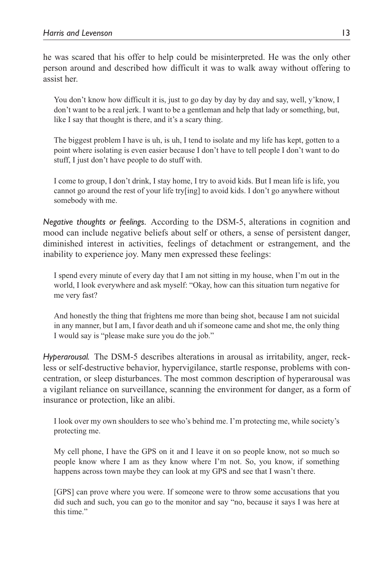he was scared that his offer to help could be misinterpreted. He was the only other person around and described how difficult it was to walk away without offering to assist her.

You don't know how difficult it is, just to go day by day by day and say, well, y'know, I don't want to be a real jerk. I want to be a gentleman and help that lady or something, but, like I say that thought is there, and it's a scary thing.

The biggest problem I have is uh, is uh, I tend to isolate and my life has kept, gotten to a point where isolating is even easier because I don't have to tell people I don't want to do stuff, I just don't have people to do stuff with.

I come to group, I don't drink, I stay home, I try to avoid kids. But I mean life is life, you cannot go around the rest of your life try[ing] to avoid kids. I don't go anywhere without somebody with me.

*Negative thoughts or feelings.* According to the DSM-5, alterations in cognition and mood can include negative beliefs about self or others, a sense of persistent danger, diminished interest in activities, feelings of detachment or estrangement, and the inability to experience joy. Many men expressed these feelings:

I spend every minute of every day that I am not sitting in my house, when I'm out in the world, I look everywhere and ask myself: "Okay, how can this situation turn negative for me very fast?

And honestly the thing that frightens me more than being shot, because I am not suicidal in any manner, but I am, I favor death and uh if someone came and shot me, the only thing I would say is "please make sure you do the job."

*Hyperarousal.* The DSM-5 describes alterations in arousal as irritability, anger, reckless or self-destructive behavior, hypervigilance, startle response, problems with concentration, or sleep disturbances. The most common description of hyperarousal was a vigilant reliance on surveillance, scanning the environment for danger, as a form of insurance or protection, like an alibi.

I look over my own shoulders to see who's behind me. I'm protecting me, while society's protecting me.

My cell phone, I have the GPS on it and I leave it on so people know, not so much so people know where I am as they know where I'm not. So, you know, if something happens across town maybe they can look at my GPS and see that I wasn't there.

[GPS] can prove where you were. If someone were to throw some accusations that you did such and such, you can go to the monitor and say "no, because it says I was here at this time."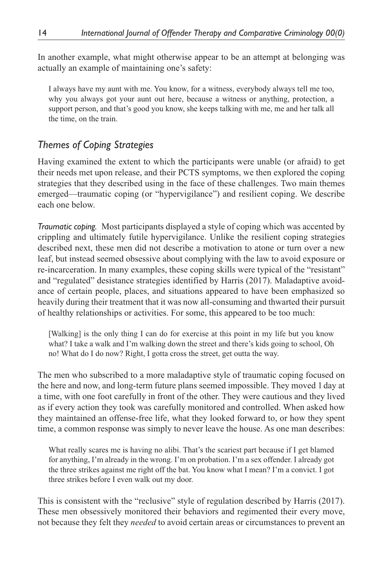In another example, what might otherwise appear to be an attempt at belonging was actually an example of maintaining one's safety:

I always have my aunt with me. You know, for a witness, everybody always tell me too, why you always got your aunt out here, because a witness or anything, protection, a support person, and that's good you know, she keeps talking with me, me and her talk all the time, on the train.

# *Themes of Coping Strategies*

Having examined the extent to which the participants were unable (or afraid) to get their needs met upon release, and their PCTS symptoms, we then explored the coping strategies that they described using in the face of these challenges. Two main themes emerged—traumatic coping (or "hypervigilance") and resilient coping. We describe each one below.

*Traumatic coping.* Most participants displayed a style of coping which was accented by crippling and ultimately futile hypervigilance. Unlike the resilient coping strategies described next, these men did not describe a motivation to atone or turn over a new leaf, but instead seemed obsessive about complying with the law to avoid exposure or re-incarceration. In many examples, these coping skills were typical of the "resistant" and "regulated" desistance strategies identified by Harris (2017). Maladaptive avoidance of certain people, places, and situations appeared to have been emphasized so heavily during their treatment that it was now all-consuming and thwarted their pursuit of healthy relationships or activities. For some, this appeared to be too much:

[Walking] is the only thing I can do for exercise at this point in my life but you know what? I take a walk and I'm walking down the street and there's kids going to school, Oh no! What do I do now? Right, I gotta cross the street, get outta the way.

The men who subscribed to a more maladaptive style of traumatic coping focused on the here and now, and long-term future plans seemed impossible. They moved 1day at a time, with one foot carefully in front of the other. They were cautious and they lived as if every action they took was carefully monitored and controlled. When asked how they maintained an offense-free life, what they looked forward to, or how they spent time, a common response was simply to never leave the house. As one man describes:

What really scares me is having no alibi. That's the scariest part because if I get blamed for anything, I'm already in the wrong. I'm on probation. I'm a sex offender. I already got the three strikes against me right off the bat. You know what I mean? I'm a convict. I got three strikes before I even walk out my door.

This is consistent with the "reclusive" style of regulation described by Harris (2017). These men obsessively monitored their behaviors and regimented their every move, not because they felt they *needed* to avoid certain areas or circumstances to prevent an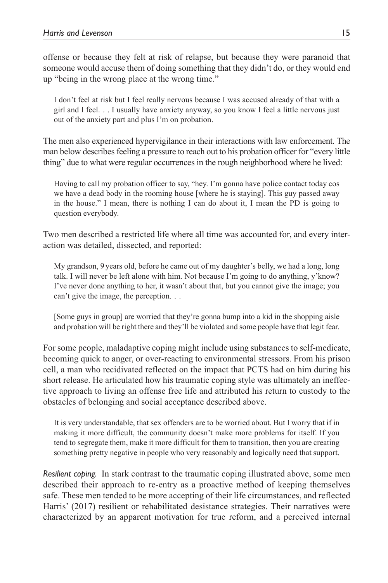offense or because they felt at risk of relapse, but because they were paranoid that someone would accuse them of doing something that they didn't do, or they would end up "being in the wrong place at the wrong time."

I don't feel at risk but I feel really nervous because I was accused already of that with a girl and I feel. . . I usually have anxiety anyway, so you know I feel a little nervous just out of the anxiety part and plus I'm on probation.

The men also experienced hypervigilance in their interactions with law enforcement. The man below describes feeling a pressure to reach out to his probation officer for "every little thing" due to what were regular occurrences in the rough neighborhood where he lived:

Having to call my probation officer to say, "hey. I'm gonna have police contact today cos we have a dead body in the rooming house [where he is staying]. This guy passed away in the house." I mean, there is nothing I can do about it, I mean the PD is going to question everybody.

Two men described a restricted life where all time was accounted for, and every interaction was detailed, dissected, and reported:

My grandson, 9 years old, before he came out of my daughter's belly, we had a long, long talk. I will never be left alone with him. Not because I'm going to do anything, y'know? I've never done anything to her, it wasn't about that, but you cannot give the image; you can't give the image, the perception. . .

[Some guys in group] are worried that they're gonna bump into a kid in the shopping aisle and probation will be right there and they'll be violated and some people have that legit fear.

For some people, maladaptive coping might include using substances to self-medicate, becoming quick to anger, or over-reacting to environmental stressors. From his prison cell, a man who recidivated reflected on the impact that PCTS had on him during his short release. He articulated how his traumatic coping style was ultimately an ineffective approach to living an offense free life and attributed his return to custody to the obstacles of belonging and social acceptance described above.

It is very understandable, that sex offenders are to be worried about. But I worry that if in making it more difficult, the community doesn't make more problems for itself. If you tend to segregate them, make it more difficult for them to transition, then you are creating something pretty negative in people who very reasonably and logically need that support.

*Resilient coping.* In stark contrast to the traumatic coping illustrated above, some men described their approach to re-entry as a proactive method of keeping themselves safe. These men tended to be more accepting of their life circumstances, and reflected Harris' (2017) resilient or rehabilitated desistance strategies. Their narratives were characterized by an apparent motivation for true reform, and a perceived internal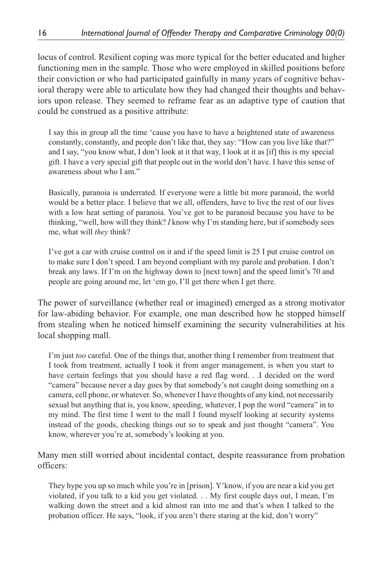locus of control. Resilient coping was more typical for the better educated and higher functioning men in the sample. Those who were employed in skilled positions before their conviction or who had participated gainfully in many years of cognitive behavioral therapy were able to articulate how they had changed their thoughts and behaviors upon release. They seemed to reframe fear as an adaptive type of caution that could be construed as a positive attribute:

I say this in group all the time 'cause you have to have a heightened state of awareness constantly, constantly, and people don't like that, they say: "How can you live like that?" and I say, "you know what, I don't look at it that way, I look at it as [if] this is my special gift. I have a very special gift that people out in the world don't have. I have this sense of awareness about who I am."

Basically, paranoia is underrated. If everyone were a little bit more paranoid, the world would be a better place. I believe that we all, offenders, have to live the rest of our lives with a low heat setting of paranoia. You've got to be paranoid because you have to be thinking, "well, how will they think? *I* know why I'm standing here, but if somebody sees me, what will *they* think?

I've got a car with cruise control on it and if the speed limit is 25 I put cruise control on to make sure I don't speed. I am beyond compliant with my parole and probation. I don't break any laws. If I'm on the highway down to [next town] and the speed limit's 70 and people are going around me, let 'em go, I'll get there when I get there.

The power of surveillance (whether real or imagined) emerged as a strong motivator for law-abiding behavior. For example, one man described how he stopped himself from stealing when he noticed himself examining the security vulnerabilities at his local shopping mall.

I'm just *too* careful. One of the things that, another thing I remember from treatment that I took from treatment, actually I took it from anger management, is when you start to have certain feelings that you should have a red flag word. . .I decided on the word "camera" because never a day goes by that somebody's not caught doing something on a camera, cell phone, or whatever. So, whenever I have thoughts of any kind, not necessarily sexual but anything that is, you know, speeding, whatever, I pop the word "camera" in to my mind. The first time I went to the mall I found myself looking at security systems instead of the goods, checking things out so to speak and just thought "camera". You know, wherever you're at, somebody's looking at you.

Many men still worried about incidental contact, despite reassurance from probation officers:

They hype you up so much while you're in [prison]. Y'know, if you are near a kid you get violated, if you talk to a kid you get violated. . . My first couple days out, I mean, I'm walking down the street and a kid almost ran into me and that's when I talked to the probation officer. He says, "look, if you aren't there staring at the kid, don't worry"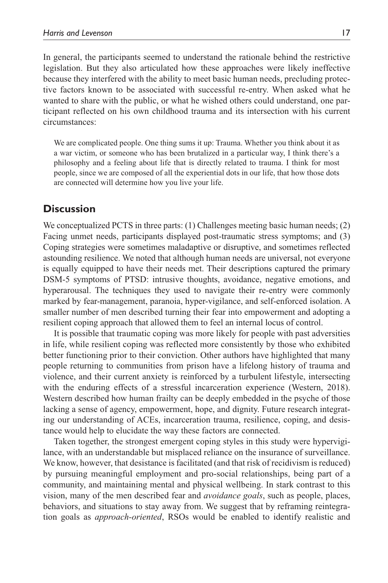In general, the participants seemed to understand the rationale behind the restrictive legislation. But they also articulated how these approaches were likely ineffective because they interfered with the ability to meet basic human needs, precluding protective factors known to be associated with successful re-entry. When asked what he wanted to share with the public, or what he wished others could understand, one participant reflected on his own childhood trauma and its intersection with his current circumstances:

We are complicated people. One thing sums it up: Trauma. Whether you think about it as a war victim, or someone who has been brutalized in a particular way, I think there's a philosophy and a feeling about life that is directly related to trauma. I think for most people, since we are composed of all the experiential dots in our life, that how those dots are connected will determine how you live your life.

## **Discussion**

We conceptualized PCTS in three parts: (1) Challenges meeting basic human needs; (2) Facing unmet needs, participants displayed post-traumatic stress symptoms; and (3) Coping strategies were sometimes maladaptive or disruptive, and sometimes reflected astounding resilience. We noted that although human needs are universal, not everyone is equally equipped to have their needs met. Their descriptions captured the primary DSM-5 symptoms of PTSD: intrusive thoughts, avoidance, negative emotions, and hyperarousal. The techniques they used to navigate their re-entry were commonly marked by fear-management, paranoia, hyper-vigilance, and self-enforced isolation. A smaller number of men described turning their fear into empowerment and adopting a resilient coping approach that allowed them to feel an internal locus of control.

It is possible that traumatic coping was more likely for people with past adversities in life, while resilient coping was reflected more consistently by those who exhibited better functioning prior to their conviction. Other authors have highlighted that many people returning to communities from prison have a lifelong history of trauma and violence, and their current anxiety is reinforced by a turbulent lifestyle, intersecting with the enduring effects of a stressful incarceration experience (Western, 2018). Western described how human frailty can be deeply embedded in the psyche of those lacking a sense of agency, empowerment, hope, and dignity. Future research integrating our understanding of ACEs, incarceration trauma, resilience, coping, and desistance would help to elucidate the way these factors are connected.

Taken together, the strongest emergent coping styles in this study were hypervigilance, with an understandable but misplaced reliance on the insurance of surveillance. We know, however, that desistance is facilitated (and that risk of recidivism is reduced) by pursuing meaningful employment and pro-social relationships, being part of a community, and maintaining mental and physical wellbeing. In stark contrast to this vision, many of the men described fear and *avoidance goals*, such as people, places, behaviors, and situations to stay away from. We suggest that by reframing reintegration goals as *approach-oriented*, RSOs would be enabled to identify realistic and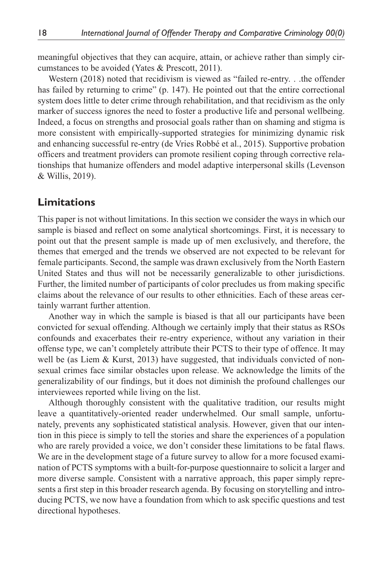meaningful objectives that they can acquire, attain, or achieve rather than simply circumstances to be avoided (Yates & Prescott, 2011).

Western (2018) noted that recidivism is viewed as "failed re-entry. . .the offender has failed by returning to crime" (p. 147). He pointed out that the entire correctional system does little to deter crime through rehabilitation, and that recidivism as the only marker of success ignores the need to foster a productive life and personal wellbeing. Indeed, a focus on strengths and prosocial goals rather than on shaming and stigma is more consistent with empirically-supported strategies for minimizing dynamic risk and enhancing successful re-entry (de Vries Robbé et al., 2015). Supportive probation officers and treatment providers can promote resilient coping through corrective relationships that humanize offenders and model adaptive interpersonal skills (Levenson & Willis, 2019).

## **Limitations**

This paper is not without limitations. In this section we consider the ways in which our sample is biased and reflect on some analytical shortcomings. First, it is necessary to point out that the present sample is made up of men exclusively, and therefore, the themes that emerged and the trends we observed are not expected to be relevant for female participants. Second, the sample was drawn exclusively from the North Eastern United States and thus will not be necessarily generalizable to other jurisdictions. Further, the limited number of participants of color precludes us from making specific claims about the relevance of our results to other ethnicities. Each of these areas certainly warrant further attention.

Another way in which the sample is biased is that all our participants have been convicted for sexual offending. Although we certainly imply that their status as RSOs confounds and exacerbates their re-entry experience, without any variation in their offense type, we can't completely attribute their PCTS to their type of offence. It may well be (as Liem & Kurst, 2013) have suggested, that individuals convicted of nonsexual crimes face similar obstacles upon release. We acknowledge the limits of the generalizability of our findings, but it does not diminish the profound challenges our interviewees reported while living on the list.

Although thoroughly consistent with the qualitative tradition, our results might leave a quantitatively-oriented reader underwhelmed. Our small sample, unfortunately, prevents any sophisticated statistical analysis. However, given that our intention in this piece is simply to tell the stories and share the experiences of a population who are rarely provided a voice, we don't consider these limitations to be fatal flaws. We are in the development stage of a future survey to allow for a more focused examination of PCTS symptoms with a built-for-purpose questionnaire to solicit a larger and more diverse sample. Consistent with a narrative approach, this paper simply represents a first step in this broader research agenda. By focusing on storytelling and introducing PCTS, we now have a foundation from which to ask specific questions and test directional hypotheses.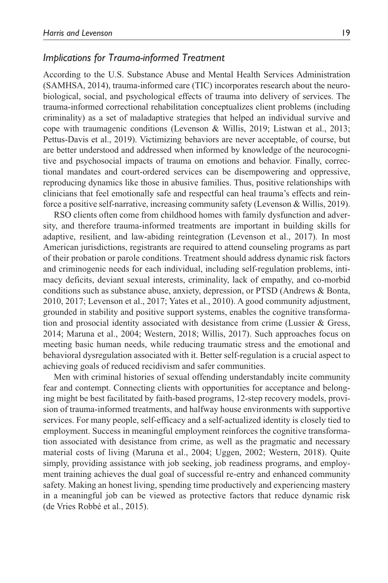## *Implications for Trauma-informed Treatment*

According to the U.S. Substance Abuse and Mental Health Services Administration (SAMHSA, 2014), trauma-informed care (TIC) incorporates research about the neurobiological, social, and psychological effects of trauma into delivery of services. The trauma-informed correctional rehabilitation conceptualizes client problems (including criminality) as a set of maladaptive strategies that helped an individual survive and cope with traumagenic conditions (Levenson & Willis, 2019; Listwan et al., 2013; Pettus-Davis et al., 2019). Victimizing behaviors are never acceptable, of course, but are better understood and addressed when informed by knowledge of the neurocognitive and psychosocial impacts of trauma on emotions and behavior. Finally, correctional mandates and court-ordered services can be disempowering and oppressive, reproducing dynamics like those in abusive families. Thus, positive relationships with clinicians that feel emotionally safe and respectful can heal trauma's effects and reinforce a positive self-narrative, increasing community safety (Levenson & Willis, 2019).

RSO clients often come from childhood homes with family dysfunction and adversity, and therefore trauma-informed treatments are important in building skills for adaptive, resilient, and law-abiding reintegration (Levenson et al., 2017). In most American jurisdictions, registrants are required to attend counseling programs as part of their probation or parole conditions. Treatment should address dynamic risk factors and criminogenic needs for each individual, including self-regulation problems, intimacy deficits, deviant sexual interests, criminality, lack of empathy, and co-morbid conditions such as substance abuse, anxiety, depression, or PTSD (Andrews & Bonta, 2010, 2017; Levenson et al., 2017; Yates et al., 2010). A good community adjustment, grounded in stability and positive support systems, enables the cognitive transformation and prosocial identity associated with desistance from crime (Lussier & Gress, 2014; Maruna et al., 2004; Western, 2018; Willis, 2017). Such approaches focus on meeting basic human needs, while reducing traumatic stress and the emotional and behavioral dysregulation associated with it. Better self-regulation is a crucial aspect to achieving goals of reduced recidivism and safer communities.

Men with criminal histories of sexual offending understandably incite community fear and contempt. Connecting clients with opportunities for acceptance and belonging might be best facilitated by faith-based programs, 12-step recovery models, provision of trauma-informed treatments, and halfway house environments with supportive services. For many people, self-efficacy and a self-actualized identity is closely tied to employment. Success in meaningful employment reinforces the cognitive transformation associated with desistance from crime, as well as the pragmatic and necessary material costs of living (Maruna et al., 2004; Uggen, 2002; Western, 2018). Quite simply, providing assistance with job seeking, job readiness programs, and employment training achieves the dual goal of successful re-entry and enhanced community safety. Making an honest living, spending time productively and experiencing mastery in a meaningful job can be viewed as protective factors that reduce dynamic risk (de Vries Robbé et al., 2015).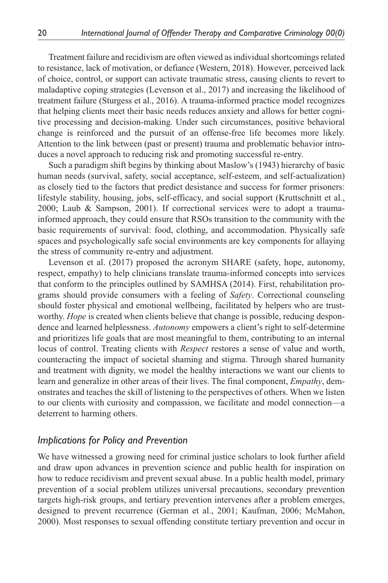Treatment failure and recidivism are often viewed as individual shortcomings related to resistance, lack of motivation, or defiance (Western, 2018). However, perceived lack of choice, control, or support can activate traumatic stress, causing clients to revert to maladaptive coping strategies (Levenson et al., 2017) and increasing the likelihood of treatment failure (Sturgess et al., 2016). A trauma-informed practice model recognizes that helping clients meet their basic needs reduces anxiety and allows for better cognitive processing and decision-making. Under such circumstances, positive behavioral change is reinforced and the pursuit of an offense-free life becomes more likely. Attention to the link between (past or present) trauma and problematic behavior introduces a novel approach to reducing risk and promoting successful re-entry.

Such a paradigm shift begins by thinking about Maslow's (1943) hierarchy of basic human needs (survival, safety, social acceptance, self-esteem, and self-actualization) as closely tied to the factors that predict desistance and success for former prisoners: lifestyle stability, housing, jobs, self-efficacy, and social support (Kruttschnitt et al., 2000; Laub & Sampson, 2001). If correctional services were to adopt a traumainformed approach, they could ensure that RSOs transition to the community with the basic requirements of survival: food, clothing, and accommodation. Physically safe spaces and psychologically safe social environments are key components for allaying the stress of community re-entry and adjustment.

Levenson et al. (2017) proposed the acronym SHARE (safety, hope, autonomy, respect, empathy) to help clinicians translate trauma-informed concepts into services that conform to the principles outlined by SAMHSA (2014). First, rehabilitation programs should provide consumers with a feeling of *Safety*. Correctional counseling should foster physical and emotional wellbeing, facilitated by helpers who are trustworthy. *Hope* is created when clients believe that change is possible, reducing despondence and learned helplessness. *Autonomy* empowers a client's right to self-determine and prioritizes life goals that are most meaningful to them, contributing to an internal locus of control. Treating clients with *Respect* restores a sense of value and worth, counteracting the impact of societal shaming and stigma. Through shared humanity and treatment with dignity, we model the healthy interactions we want our clients to learn and generalize in other areas of their lives. The final component, *Empathy*, demonstrates and teaches the skill of listening to the perspectives of others. When we listen to our clients with curiosity and compassion, we facilitate and model connection—a deterrent to harming others.

## *Implications for Policy and Prevention*

We have witnessed a growing need for criminal justice scholars to look further afield and draw upon advances in prevention science and public health for inspiration on how to reduce recidivism and prevent sexual abuse. In a public health model, primary prevention of a social problem utilizes universal precautions, secondary prevention targets high-risk groups, and tertiary prevention intervenes after a problem emerges, designed to prevent recurrence (German et al., 2001; Kaufman, 2006; McMahon, 2000). Most responses to sexual offending constitute tertiary prevention and occur in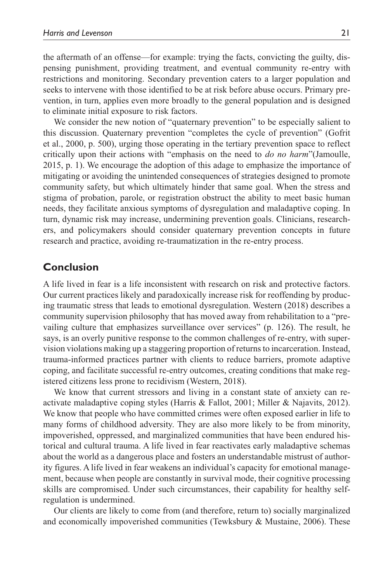the aftermath of an offense—for example: trying the facts, convicting the guilty, dispensing punishment, providing treatment, and eventual community re-entry with restrictions and monitoring. Secondary prevention caters to a larger population and seeks to intervene with those identified to be at risk before abuse occurs. Primary prevention, in turn, applies even more broadly to the general population and is designed to eliminate initial exposure to risk factors.

We consider the new notion of "quaternary prevention" to be especially salient to this discussion. Quaternary prevention "completes the cycle of prevention" (Gofrit et al., 2000, p. 500), urging those operating in the tertiary prevention space to reflect critically upon their actions with "emphasis on the need to *do no harm*"(Jamoulle, 2015, p. 1). We encourage the adoption of this adage to emphasize the importance of mitigating or avoiding the unintended consequences of strategies designed to promote community safety, but which ultimately hinder that same goal. When the stress and stigma of probation, parole, or registration obstruct the ability to meet basic human needs, they facilitate anxious symptoms of dysregulation and maladaptive coping. In turn, dynamic risk may increase, undermining prevention goals. Clinicians, researchers, and policymakers should consider quaternary prevention concepts in future research and practice, avoiding re-traumatization in the re-entry process.

## **Conclusion**

A life lived in fear is a life inconsistent with research on risk and protective factors. Our current practices likely and paradoxically increase risk for reoffending by producing traumatic stress that leads to emotional dysregulation. Western (2018) describes a community supervision philosophy that has moved away from rehabilitation to a "prevailing culture that emphasizes surveillance over services" (p. 126). The result, he says, is an overly punitive response to the common challenges of re-entry, with supervision violations making up a staggering proportion of returns to incarceration. Instead, trauma-informed practices partner with clients to reduce barriers, promote adaptive coping, and facilitate successful re-entry outcomes, creating conditions that make registered citizens less prone to recidivism (Western, 2018).

We know that current stressors and living in a constant state of anxiety can reactivate maladaptive coping styles (Harris & Fallot, 2001; Miller & Najavits, 2012). We know that people who have committed crimes were often exposed earlier in life to many forms of childhood adversity. They are also more likely to be from minority, impoverished, oppressed, and marginalized communities that have been endured historical and cultural trauma. A life lived in fear reactivates early maladaptive schemas about the world as a dangerous place and fosters an understandable mistrust of authority figures. A life lived in fear weakens an individual's capacity for emotional management, because when people are constantly in survival mode, their cognitive processing skills are compromised. Under such circumstances, their capability for healthy selfregulation is undermined.

Our clients are likely to come from (and therefore, return to) socially marginalized and economically impoverished communities (Tewksbury  $\&$  Mustaine, 2006). These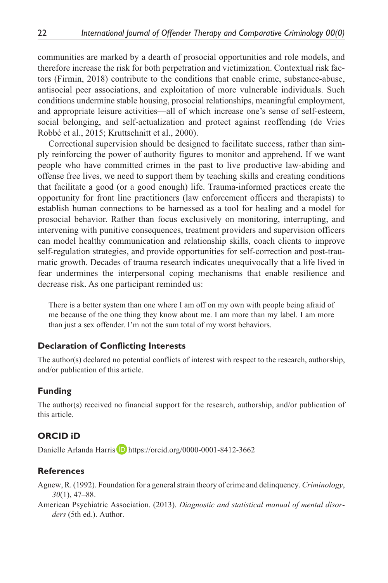communities are marked by a dearth of prosocial opportunities and role models, and therefore increase the risk for both perpetration and victimization. Contextual risk factors (Firmin, 2018) contribute to the conditions that enable crime, substance-abuse, antisocial peer associations, and exploitation of more vulnerable individuals. Such conditions undermine stable housing, prosocial relationships, meaningful employment, and appropriate leisure activities—all of which increase one's sense of self-esteem, social belonging, and self-actualization and protect against reoffending (de Vries Robbé et al., 2015; Kruttschnitt et al., 2000).

Correctional supervision should be designed to facilitate success, rather than simply reinforcing the power of authority figures to monitor and apprehend. If we want people who have committed crimes in the past to live productive law-abiding and offense free lives, we need to support them by teaching skills and creating conditions that facilitate a good (or a good enough) life. Trauma-informed practices create the opportunity for front line practitioners (law enforcement officers and therapists) to establish human connections to be harnessed as a tool for healing and a model for prosocial behavior. Rather than focus exclusively on monitoring, interrupting, and intervening with punitive consequences, treatment providers and supervision officers can model healthy communication and relationship skills, coach clients to improve self-regulation strategies, and provide opportunities for self-correction and post-traumatic growth. Decades of trauma research indicates unequivocally that a life lived in fear undermines the interpersonal coping mechanisms that enable resilience and decrease risk. As one participant reminded us:

There is a better system than one where I am off on my own with people being afraid of me because of the one thing they know about me. I am more than my label. I am more than just a sex offender. I'm not the sum total of my worst behaviors.

#### **Declaration of Conflicting Interests**

The author(s) declared no potential conflicts of interest with respect to the research, authorship, and/or publication of this article.

### **Funding**

The author(s) received no financial support for the research, authorship, and/or publication of this article.

### **ORCID iD**

Danielle Arlanda Harris D <https://orcid.org/0000-0001-8412-3662>

#### **References**

- Agnew, R. (1992). Foundation for a general strain theory of crime and delinquency. *Criminology*, *30*(1), 47–88.
- American Psychiatric Association. (2013). *Diagnostic and statistical manual of mental disorders* (5th ed.). Author.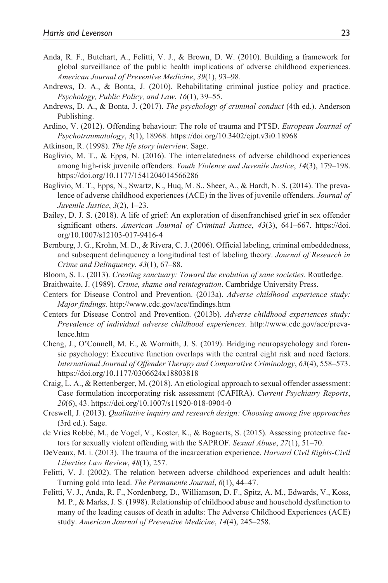- Anda, R. F., Butchart, A., Felitti, V. J., & Brown, D. W. (2010). Building a framework for global surveillance of the public health implications of adverse childhood experiences. *American Journal of Preventive Medicine*, *39*(1), 93–98.
- Andrews, D. A., & Bonta, J. (2010). Rehabilitating criminal justice policy and practice. *Psychology, Public Policy, and Law*, *16*(1), 39–55.
- Andrews, D. A., & Bonta, J. (2017). *The psychology of criminal conduct* (4th ed.). Anderson Publishing.
- Ardino, V. (2012). Offending behaviour: The role of trauma and PTSD. *European Journal of Psychotraumatology*, *3*(1), 18968.<https://doi.org/10.3402/ejpt.v3i0.18968>
- Atkinson, R. (1998). *The life story interview*. Sage.
- Baglivio, M. T., & Epps, N. (2016). The interrelatedness of adverse childhood experiences among high-risk juvenile offenders. *Youth Violence and Juvenile Justice*, *14*(3), 179–198. <https://doi.org/10.1177/1541204014566286>
- Baglivio, M. T., Epps, N., Swartz, K., Huq, M. S., Sheer, A., & Hardt, N. S. (2014). The prevalence of adverse childhood experiences (ACE) in the lives of juvenile offenders. *Journal of Juvenile Justice*, *3*(2), 1–23.
- Bailey, D. J. S. (2018). A life of grief: An exploration of disenfranchised grief in sex offender significant others. *American Journal of Criminal Justice*, *43*(3), 641–667. [https://doi.](https://doi.org/10.1007/s12103-017-9416-4) [org/10.1007/s12103-017-9416-4](https://doi.org/10.1007/s12103-017-9416-4)
- Bernburg, J. G., Krohn, M. D., & Rivera, C. J. (2006). Official labeling, criminal embeddedness, and subsequent delinquency a longitudinal test of labeling theory. *Journal of Research in Crime and Delinquency*, *43*(1), 67–88.
- Bloom, S. L. (2013). *Creating sanctuary: Toward the evolution of sane societies*. Routledge.
- Braithwaite, J. (1989). *Crime, shame and reintegration*. Cambridge University Press.
- Centers for Disease Control and Prevention. (2013a). *Adverse childhood experience study: Major findings*.<http://www.cdc.gov/ace/findings.htm>
- Centers for Disease Control and Prevention. (2013b). *Adverse childhood experiences study: Prevalence of individual adverse childhood experiences*. [http://www.cdc.gov/ace/preva](http://www.cdc.gov/ace/prevalence.htm)[lence.htm](http://www.cdc.gov/ace/prevalence.htm)
- Cheng, J., O'Connell, M. E., & Wormith, J. S. (2019). Bridging neuropsychology and forensic psychology: Executive function overlaps with the central eight risk and need factors. *International Journal of Offender Therapy and Comparative Criminology*, *63*(4), 558–573. <https://doi.org/10.1177/0306624x18803818>
- Craig, L. A., & Rettenberger, M. (2018). An etiological approach to sexual offender assessment: Case formulation incorporating risk assessment (CAFIRA). *Current Psychiatry Reports*, *20*(6), 43.<https://doi.org/10.1007/s11920-018-0904-0>
- Creswell, J. (2013). *Qualitative inquiry and research design: Choosing among five approaches* (3rd ed.). Sage.
- de Vries Robbé, M., de Vogel, V., Koster, K., & Bogaerts, S. (2015). Assessing protective factors for sexually violent offending with the SAPROF. *Sexual Abuse*, *27*(1), 51–70.
- DeVeaux, M. i. (2013). The trauma of the incarceration experience. *Harvard Civil Rights-Civil Liberties Law Review*, *48*(1), 257.
- Felitti, V. J. (2002). The relation between adverse childhood experiences and adult health: Turning gold into lead. *The Permanente Journal*, *6*(1), 44–47.
- Felitti, V. J., Anda, R. F., Nordenberg, D., Williamson, D. F., Spitz, A. M., Edwards, V., Koss, M. P., & Marks, J. S. (1998). Relationship of childhood abuse and household dysfunction to many of the leading causes of death in adults: The Adverse Childhood Experiences (ACE) study. *American Journal of Preventive Medicine*, *14*(4), 245–258.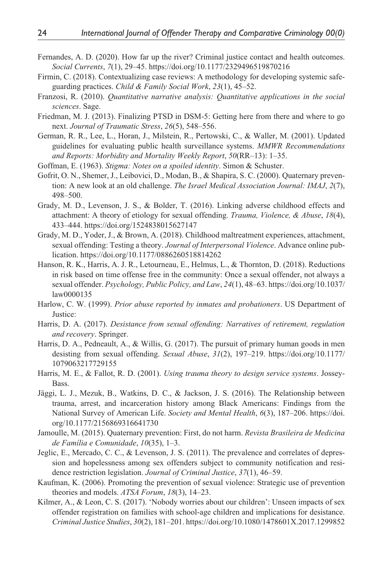- Fernandes, A. D. (2020). How far up the river? Criminal justice contact and health outcomes. *Social Currents*, *7*(1), 29–45. <https://doi.org/10.1177/2329496519870216>
- Firmin, C. (2018). Contextualizing case reviews: A methodology for developing systemic safeguarding practices. *Child & Family Social Work*, *23*(1), 45–52.
- Franzosi, R. (2010). *Quantitative narrative analysis: Quantitative applications in the social sciences*. Sage.
- Friedman, M. J. (2013). Finalizing PTSD in DSM-5: Getting here from there and where to go next. *Journal of Traumatic Stress*, *26*(5), 548–556.
- German, R. R., Lee, L., Horan, J., Milstein, R., Pertowski, C., & Waller, M. (2001). Updated guidelines for evaluating public health surveillance systems. *MMWR Recommendations and Reports: Morbidity and Mortality Weekly Report*, *50*(RR–13): 1–35.
- Goffman, E. (1963). *Stigma: Notes on a spoiled identity*. Simon & Schuster.
- Gofrit, O. N., Shemer, J., Leibovici, D., Modan, B., & Shapira, S. C. (2000). Quaternary prevention: A new look at an old challenge. *The Israel Medical Association Journal: IMAJ*, *2*(7), 498–500.
- Grady, M. D., Levenson, J. S., & Bolder, T. (2016). Linking adverse childhood effects and attachment: A theory of etiology for sexual offending. *Trauma, Violence, & Abuse*, *18*(4), 433–444.<https://doi.org/1524838015627147>
- Grady, M. D., Yoder, J., & Brown, A. (2018). Childhood maltreatment experiences, attachment, sexual offending: Testing a theory. *Journal of Interpersonal Violence*. Advance online publication.<https://doi.org/10.1177/0886260518814262>
- Hanson, R. K., Harris, A. J. R., Letourneau, E., Helmus, L., & Thornton, D. (2018). Reductions in risk based on time offense free in the community: Once a sexual offender, not always a sexual offender. *Psychology, Public Policy, and Law*, *24*(1), 48–63. [https://doi.org/10.1037/](https://doi.org/10.1037/law0000135) [law0000135](https://doi.org/10.1037/law0000135)
- Harlow, C. W. (1999). *Prior abuse reported by inmates and probationers*. US Department of Justice:
- Harris, D. A. (2017). *Desistance from sexual offending: Narratives of retirement, regulation and recovery*. Springer.
- Harris, D. A., Pedneault, A., & Willis, G. (2017). The pursuit of primary human goods in men desisting from sexual offending. *Sexual Abuse*, *31*(2), 197–219. [https://doi.org/10.1177/](https://doi.org/10.1177/1079063217729155) [1079063217729155](https://doi.org/10.1177/1079063217729155)
- Harris, M. E., & Fallot, R. D. (2001). *Using trauma theory to design service systems*. Jossey-Bass.
- Jäggi, L. J., Mezuk, B., Watkins, D. C., & Jackson, J. S. (2016). The Relationship between trauma, arrest, and incarceration history among Black Americans: Findings from the National Survey of American Life. *Society and Mental Health*, *6*(3), 187–206. [https://doi.](https://doi.org/10.1177/2156869316641730) [org/10.1177/2156869316641730](https://doi.org/10.1177/2156869316641730)
- Jamoulle, M. (2015). Quaternary prevention: First, do not harm. *Revista Brasileira de Medicina de Família e Comunidade*, *10*(35), 1–3.
- Jeglic, E., Mercado, C. C., & Levenson, J. S. (2011). The prevalence and correlates of depression and hopelessness among sex offenders subject to community notification and residence restriction legislation. *Journal of Criminal Justice*, *37*(1), 46–59.
- Kaufman, K. (2006). Promoting the prevention of sexual violence: Strategic use of prevention theories and models. *ATSA Forum*, *18*(3), 14–23.
- Kilmer, A., & Leon, C. S. (2017). 'Nobody worries about our children': Unseen impacts of sex offender registration on families with school-age children and implications for desistance. *Criminal Justice Studies*, *30*(2), 181–201.<https://doi.org/10.1080/1478601X.2017.1299852>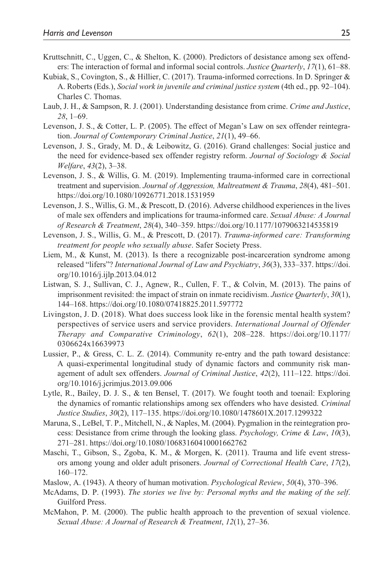- Kruttschnitt, C., Uggen, C., & Shelton, K. (2000). Predictors of desistance among sex offenders: The interaction of formal and informal social controls. *Justice Quarterly*, *17*(1), 61–88.
- Kubiak, S., Covington, S., & Hillier, C. (2017). Trauma-informed corrections. In D. Springer & A. Roberts (Eds.), *Social work in juvenile and criminal justice system* (4th ed., pp. 92–104). Charles C. Thomas.
- Laub, J. H., & Sampson, R. J. (2001). Understanding desistance from crime. *Crime and Justice*, *28*, 1–69.
- Levenson, J. S., & Cotter, L. P. (2005). The effect of Megan's Law on sex offender reintegration. *Journal of Contemporary Criminal Justice*, *21*(1), 49–66.
- Levenson, J. S., Grady, M. D., & Leibowitz, G. (2016). Grand challenges: Social justice and the need for evidence-based sex offender registry reform. *Journal of Sociology & Social Welfare*, *43*(2), 3–38.
- Levenson, J. S., & Willis, G. M. (2019). Implementing trauma-informed care in correctional treatment and supervision. *Journal of Aggression, Maltreatment & Trauma*, *28*(4), 481–501. <https://doi.org/10.1080/10926771.2018.1531959>
- Levenson, J. S., Willis, G. M., & Prescott, D. (2016). Adverse childhood experiences in the lives of male sex offenders and implications for trauma-informed care. *Sexual Abuse: A Journal of Research & Treatment*, *28*(4), 340–359. <https://doi.org/10.1177/1079063214535819>
- Levenson, J. S., Willis, G. M., & Prescott, D. (2017). *Trauma-informed care: Transforming treatment for people who sexually abuse*. Safer Society Press.
- Liem, M., & Kunst, M. (2013). Is there a recognizable post-incarceration syndrome among released "lifers"? *International Journal of Law and Psychiatry*, *36*(3), 333–337. [https://doi.](https://doi.org/10.1016/j.ijlp.2013.04.012) [org/10.1016/j.ijlp.2013.04.012](https://doi.org/10.1016/j.ijlp.2013.04.012)
- Listwan, S. J., Sullivan, C. J., Agnew, R., Cullen, F. T., & Colvin, M. (2013). The pains of imprisonment revisited: the impact of strain on inmate recidivism. *Justice Quarterly*, *30*(1), 144–168.<https://doi.org/10.1080/07418825.2011.597772>
- Livingston, J. D. (2018). What does success look like in the forensic mental health system? perspectives of service users and service providers. *International Journal of Offender Therapy and Comparative Criminology*, *62*(1), 208–228. [https://doi.org/10.1177/](https://doi.org/10.1177/0306624x16639973) [0306624x16639973](https://doi.org/10.1177/0306624x16639973)
- Lussier, P., & Gress, C. L. Z. (2014). Community re-entry and the path toward desistance: A quasi-experimental longitudinal study of dynamic factors and community risk management of adult sex offenders. *Journal of Criminal Justice*, *42*(2), 111–122. [https://doi.](https://doi.org/10.1016/j.jcrimjus.2013.09.006) [org/10.1016/j.jcrimjus.2013.09.006](https://doi.org/10.1016/j.jcrimjus.2013.09.006)
- Lytle, R., Bailey, D. J. S., & ten Bensel, T. (2017). We fought tooth and toenail: Exploring the dynamics of romantic relationships among sex offenders who have desisted. *Criminal Justice Studies*, *30*(2), 117–135. <https://doi.org/10.1080/1478601X.2017.1299322>
- Maruna, S., LeBel, T. P., Mitchell, N., & Naples, M. (2004). Pygmalion in the reintegration process: Desistance from crime through the looking glass. *Psychology, Crime & Law*, *10*(3), 271–281.<https://doi.org/10.1080/10683160410001662762>
- Maschi, T., Gibson, S., Zgoba, K. M., & Morgen, K. (2011). Trauma and life event stressors among young and older adult prisoners. *Journal of Correctional Health Care*, *17*(2), 160–172.
- Maslow, A. (1943). A theory of human motivation. *Psychological Review*, *50*(4), 370–396.
- McAdams, D. P. (1993). *The stories we live by: Personal myths and the making of the self*. Guilford Press.
- McMahon, P. M. (2000). The public health approach to the prevention of sexual violence. *Sexual Abuse: A Journal of Research & Treatment*, *12*(1), 27–36.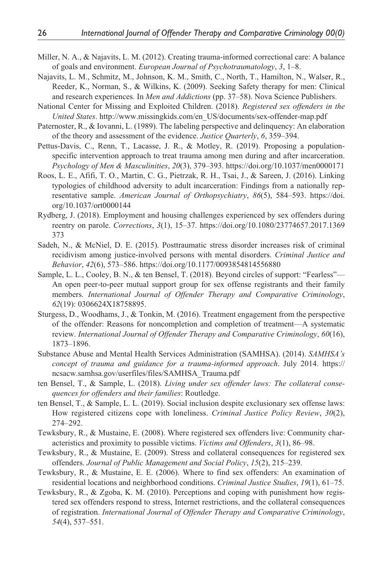- Miller, N. A., & Najavits, L. M. (2012). Creating trauma-informed correctional care: A balance of goals and environment. *European Journal of Psychotraumatology*, *3*, 1–8.
- Najavits, L. M., Schmitz, M., Johnson, K. M., Smith, C., North, T., Hamilton, N., Walser, R., Reeder, K., Norman, S., & Wilkins, K. (2009). Seeking Safety therapy for men: Clinical and research experiences. In *Men and Addictions* (pp. 37–58). Nova Science Publishers.
- National Center for Missing and Exploited Children. (2018). *Registered sex offenders in the United States*. [http://www.missingkids.com/en\\_US/documents/sex-offender-map.pdf](http://www.missingkids.com/en_US/documents/sex-offender-map.pdf)
- Paternoster, R., & Iovanni, L. (1989). The labeling perspective and delinquency: An elaboration of the theory and assessment of the evidence. *Justice Quarterly*, *6*, 359–394.
- Pettus-Davis, C., Renn, T., Lacasse, J. R., & Motley, R. (2019). Proposing a populationspecific intervention approach to treat trauma among men during and after incarceration. *Psychology of Men & Masculinities*, *20*(3), 379–393.<https://doi.org/10.1037/men0000171>
- Roos, L. E., Afifi, T. O., Martin, C. G., Pietrzak, R. H., Tsai, J., & Sareen, J. (2016). Linking typologies of childhood adversity to adult incarceration: Findings from a nationally representative sample. *American Journal of Orthopsychiatry*, *86*(5), 584–593. [https://doi.](https://doi.org/10.1037/ort0000144) [org/10.1037/ort0000144](https://doi.org/10.1037/ort0000144)
- Rydberg, J. (2018). Employment and housing challenges experienced by sex offenders during reentry on parole. *Corrections*, *3*(1), 15–37. [https://doi.org/10.1080/23774657.2017.1369](https://doi.org/10.1080/23774657.2017.1369373) [373](https://doi.org/10.1080/23774657.2017.1369373)
- Sadeh, N., & McNiel, D. E. (2015). Posttraumatic stress disorder increases risk of criminal recidivism among justice-involved persons with mental disorders. *Criminal Justice and Behavior*, *42*(6), 573–586.<https://doi.org/10.1177/0093854814556880>
- Sample, L. L., Cooley, B. N., & ten Bensel, T. (2018). Beyond circles of support: "Fearless"— An open peer-to-peer mutual support group for sex offense registrants and their family members. *International Journal of Offender Therapy and Comparative Criminology*, *62*(19): 0306624X18758895.
- Sturgess, D., Woodhams, J., & Tonkin, M. (2016). Treatment engagement from the perspective of the offender: Reasons for noncompletion and completion of treatment—A systematic review. *International Journal of Offender Therapy and Comparative Criminology*, *60*(16), 1873–1896.
- Substance Abuse and Mental Health Services Administration (SAMHSA). (2014). *SAMHSA's concept of trauma and guidance for a trauma-informed approach*. July 2014. [https://](https://ncsacw.samhsa.gov/userfiles/files/SAMHSA_Trauma.pdf) [ncsacw.samhsa.gov/userfiles/files/SAMHSA\\_Trauma.pdf](https://ncsacw.samhsa.gov/userfiles/files/SAMHSA_Trauma.pdf)
- ten Bensel, T., & Sample, L. (2018). *Living under sex offender laws: The collateral consequences for offenders and their families*: Routledge.
- ten Bensel, T., & Sample, L. L. (2019). Social inclusion despite exclusionary sex offense laws: How registered citizens cope with loneliness. *Criminal Justice Policy Review*, *30*(2), 274–292.
- Tewksbury, R., & Mustaine, E. (2008). Where registered sex offenders live: Community characteristics and proximity to possible victims. *Victims and Offenders*, *3*(1), 86–98.
- Tewksbury, R., & Mustaine, E. (2009). Stress and collateral consequences for registered sex offenders. *Journal of Public Management and Social Policy*, *15*(2), 215–239.
- Tewksbury, R., & Mustaine, E. E. (2006). Where to find sex offenders: An examination of residential locations and neighborhood conditions. *Criminal Justice Studies*, *19*(1), 61–75.
- Tewksbury, R., & Zgoba, K. M. (2010). Perceptions and coping with punishment how registered sex offenders respond to stress, Internet restrictions, and the collateral consequences of registration. *International Journal of Offender Therapy and Comparative Criminology*, *54*(4), 537–551.